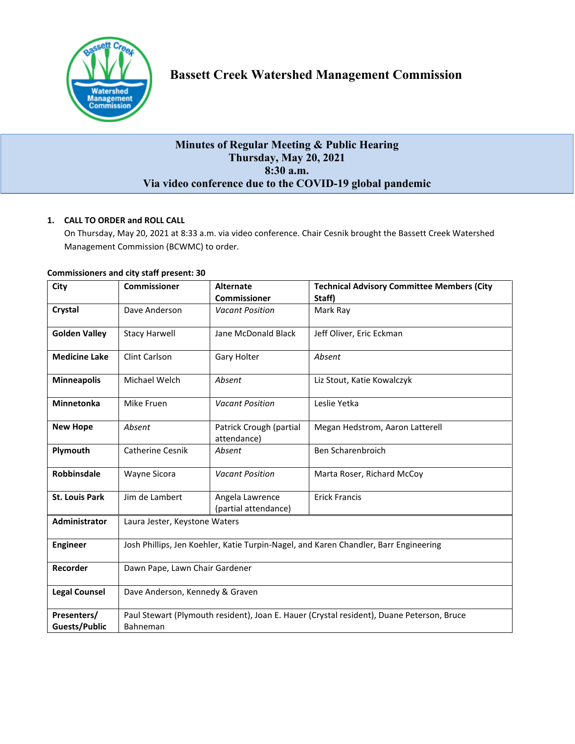

# **Minutes of Regular Meeting & Public Hearing Thursday, May 20, 2021 8:30 a.m. Via video conference due to the COVID-19 global pandemic**

# **1. CALL TO ORDER and ROLL CALL**

On Thursday, May 20, 2021 at 8:33 a.m. via video conference. Chair Cesnik brought the Bassett Creek Watershed Management Commission (BCWMC) to order.

| City                  | <b>Commissioner</b>                                                                       | <b>Alternate</b>                        | <b>Technical Advisory Committee Members (City</b> |  |
|-----------------------|-------------------------------------------------------------------------------------------|-----------------------------------------|---------------------------------------------------|--|
|                       |                                                                                           | <b>Commissioner</b>                     | Staff)                                            |  |
| Crystal               | Dave Anderson                                                                             | <b>Vacant Position</b>                  | Mark Ray                                          |  |
| <b>Golden Valley</b>  | <b>Stacy Harwell</b>                                                                      | Jane McDonald Black                     | Jeff Oliver, Eric Eckman                          |  |
| <b>Medicine Lake</b>  | Clint Carlson                                                                             | Gary Holter                             | Absent                                            |  |
| <b>Minneapolis</b>    | Michael Welch                                                                             | Absent                                  | Liz Stout, Katie Kowalczyk                        |  |
| <b>Minnetonka</b>     | Mike Fruen                                                                                | <b>Vacant Position</b>                  | Leslie Yetka                                      |  |
| <b>New Hope</b>       | Absent                                                                                    | Patrick Crough (partial<br>attendance)  | Megan Hedstrom, Aaron Latterell                   |  |
| Plymouth              | <b>Catherine Cesnik</b>                                                                   | Absent                                  | Ben Scharenbroich                                 |  |
| Robbinsdale           | Wayne Sicora                                                                              | <b>Vacant Position</b>                  | Marta Roser, Richard McCoy                        |  |
| <b>St. Louis Park</b> | Jim de Lambert                                                                            | Angela Lawrence<br>(partial attendance) | <b>Erick Francis</b>                              |  |
| Administrator         | Laura Jester, Keystone Waters                                                             |                                         |                                                   |  |
| <b>Engineer</b>       | Josh Phillips, Jen Koehler, Katie Turpin-Nagel, and Karen Chandler, Barr Engineering      |                                         |                                                   |  |
| Recorder              | Dawn Pape, Lawn Chair Gardener                                                            |                                         |                                                   |  |
| <b>Legal Counsel</b>  | Dave Anderson, Kennedy & Graven                                                           |                                         |                                                   |  |
| Presenters/           | Paul Stewart (Plymouth resident), Joan E. Hauer (Crystal resident), Duane Peterson, Bruce |                                         |                                                   |  |
| <b>Guests/Public</b>  | Bahneman                                                                                  |                                         |                                                   |  |

### **Commissioners and city staff present: 30**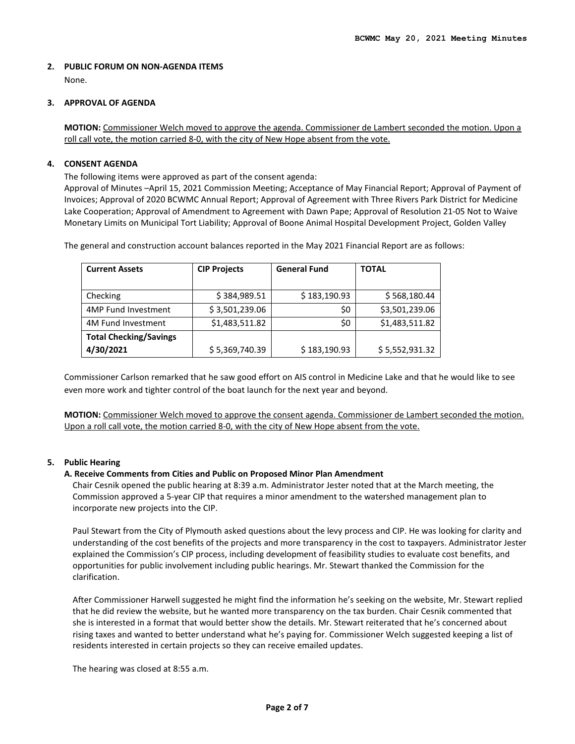# **2. PUBLIC FORUM ON NON-AGENDA ITEMS**

None.

# **3. APPROVAL OF AGENDA**

**MOTION:** Commissioner Welch moved to approve the agenda. Commissioner de Lambert seconded the motion. Upon a roll call vote, the motion carried 8-0, with the city of New Hope absent from the vote.

# **4. CONSENT AGENDA**

The following items were approved as part of the consent agenda:

Approval of Minutes –April 15, 2021 Commission Meeting; Acceptance of May Financial Report; Approval of Payment of Invoices; Approval of 2020 BCWMC Annual Report; Approval of Agreement with Three Rivers Park District for Medicine Lake Cooperation; Approval of Amendment to Agreement with Dawn Pape; Approval of Resolution 21-05 Not to Waive Monetary Limits on Municipal Tort Liability; Approval of Boone Animal Hospital Development Project, Golden Valley

The general and construction account balances reported in the May 2021 Financial Report are as follows:

| <b>Current Assets</b>         | <b>CIP Projects</b> | <b>General Fund</b> | <b>TOTAL</b>   |
|-------------------------------|---------------------|---------------------|----------------|
|                               |                     |                     |                |
| Checking                      | \$384,989.51        | \$183,190.93        | \$568,180.44   |
| <b>4MP Fund Investment</b>    | \$3,501,239.06      | \$0                 | \$3,501,239.06 |
| 4M Fund Investment            | \$1,483,511.82      | \$0                 | \$1,483,511.82 |
| <b>Total Checking/Savings</b> |                     |                     |                |
| 4/30/2021                     | \$5,369,740.39      | \$183,190.93        | \$5,552,931.32 |

Commissioner Carlson remarked that he saw good effort on AIS control in Medicine Lake and that he would like to see even more work and tighter control of the boat launch for the next year and beyond.

**MOTION:** Commissioner Welch moved to approve the consent agenda. Commissioner de Lambert seconded the motion. Upon a roll call vote, the motion carried 8-0, with the city of New Hope absent from the vote.

#### **5. Public Hearing**

#### **A. Receive Comments from Cities and Public on Proposed Minor Plan Amendment**

Chair Cesnik opened the public hearing at 8:39 a.m. Administrator Jester noted that at the March meeting, the Commission approved a 5-year CIP that requires a minor amendment to the watershed management plan to incorporate new projects into the CIP.

Paul Stewart from the City of Plymouth asked questions about the levy process and CIP. He was looking for clarity and understanding of the cost benefits of the projects and more transparency in the cost to taxpayers. Administrator Jester explained the Commission's CIP process, including development of feasibility studies to evaluate cost benefits, and opportunities for public involvement including public hearings. Mr. Stewart thanked the Commission for the clarification.

After Commissioner Harwell suggested he might find the information he's seeking on the website, Mr. Stewart replied that he did review the website, but he wanted more transparency on the tax burden. Chair Cesnik commented that she is interested in a format that would better show the details. Mr. Stewart reiterated that he's concerned about rising taxes and wanted to better understand what he's paying for. Commissioner Welch suggested keeping a list of residents interested in certain projects so they can receive emailed updates.

The hearing was closed at 8:55 a.m.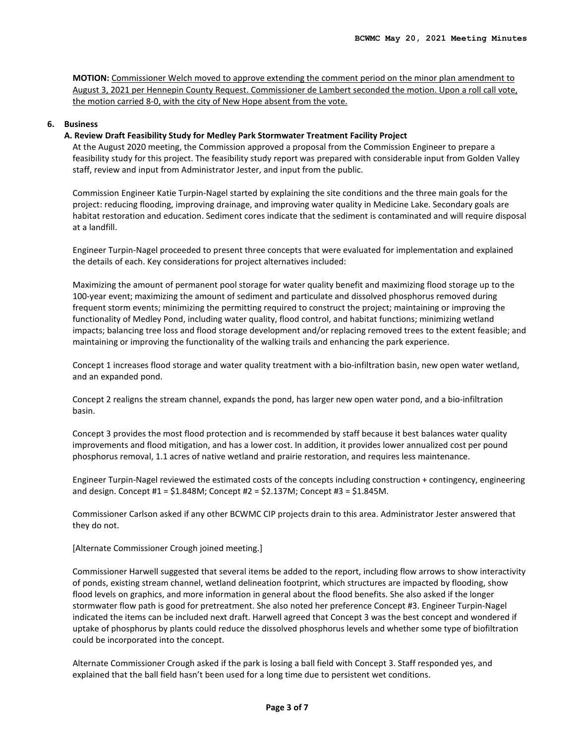**MOTION:** Commissioner Welch moved to approve extending the comment period on the minor plan amendment to August 3, 2021 per Hennepin County Request. Commissioner de Lambert seconded the motion. Upon a roll call vote, the motion carried 8-0, with the city of New Hope absent from the vote.

#### **6. Business**

#### **A. Review Draft Feasibility Study for Medley Park Stormwater Treatment Facility Project**

At the August 2020 meeting, the Commission approved a proposal from the Commission Engineer to prepare a feasibility study for this project. The feasibility study report was prepared with considerable input from Golden Valley staff, review and input from Administrator Jester, and input from the public.

Commission Engineer Katie Turpin-Nagel started by explaining the site conditions and the three main goals for the project: reducing flooding, improving drainage, and improving water quality in Medicine Lake. Secondary goals are habitat restoration and education. Sediment cores indicate that the sediment is contaminated and will require disposal at a landfill.

Engineer Turpin-Nagel proceeded to present three concepts that were evaluated for implementation and explained the details of each. Key considerations for project alternatives included:

Maximizing the amount of permanent pool storage for water quality benefit and maximizing flood storage up to the 100-year event; maximizing the amount of sediment and particulate and dissolved phosphorus removed during frequent storm events; minimizing the permitting required to construct the project; maintaining or improving the functionality of Medley Pond, including water quality, flood control, and habitat functions; minimizing wetland impacts; balancing tree loss and flood storage development and/or replacing removed trees to the extent feasible; and maintaining or improving the functionality of the walking trails and enhancing the park experience.

Concept 1 increases flood storage and water quality treatment with a bio-infiltration basin, new open water wetland, and an expanded pond.

Concept 2 realigns the stream channel, expands the pond, has larger new open water pond, and a bio-infiltration basin.

Concept 3 provides the most flood protection and is recommended by staff because it best balances water quality improvements and flood mitigation, and has a lower cost. In addition, it provides lower annualized cost per pound phosphorus removal, 1.1 acres of native wetland and prairie restoration, and requires less maintenance.

Engineer Turpin-Nagel reviewed the estimated costs of the concepts including construction + contingency, engineering and design. Concept #1 = \$1.848M; Concept #2 = \$2.137M; Concept #3 = \$1.845M.

Commissioner Carlson asked if any other BCWMC CIP projects drain to this area. Administrator Jester answered that they do not.

[Alternate Commissioner Crough joined meeting.]

Commissioner Harwell suggested that several items be added to the report, including flow arrows to show interactivity of ponds, existing stream channel, wetland delineation footprint, which structures are impacted by flooding, show flood levels on graphics, and more information in general about the flood benefits. She also asked if the longer stormwater flow path is good for pretreatment. She also noted her preference Concept #3. Engineer Turpin-Nagel indicated the items can be included next draft. Harwell agreed that Concept 3 was the best concept and wondered if uptake of phosphorus by plants could reduce the dissolved phosphorus levels and whether some type of biofiltration could be incorporated into the concept.

Alternate Commissioner Crough asked if the park is losing a ball field with Concept 3. Staff responded yes, and explained that the ball field hasn't been used for a long time due to persistent wet conditions.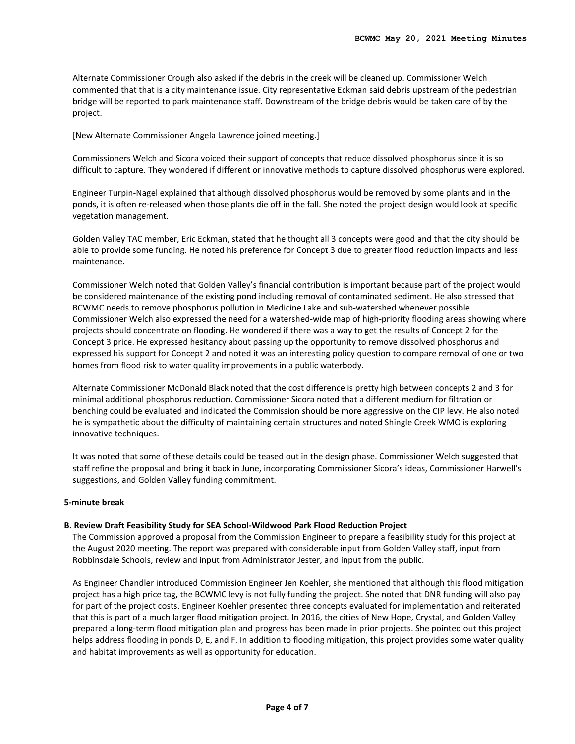Alternate Commissioner Crough also asked if the debris in the creek will be cleaned up. Commissioner Welch commented that that is a city maintenance issue. City representative Eckman said debris upstream of the pedestrian bridge will be reported to park maintenance staff. Downstream of the bridge debris would be taken care of by the project.

[New Alternate Commissioner Angela Lawrence joined meeting.]

Commissioners Welch and Sicora voiced their support of concepts that reduce dissolved phosphorus since it is so difficult to capture. They wondered if different or innovative methods to capture dissolved phosphorus were explored.

Engineer Turpin-Nagel explained that although dissolved phosphorus would be removed by some plants and in the ponds, it is often re-released when those plants die off in the fall. She noted the project design would look at specific vegetation management.

Golden Valley TAC member, Eric Eckman, stated that he thought all 3 concepts were good and that the city should be able to provide some funding. He noted his preference for Concept 3 due to greater flood reduction impacts and less maintenance.

Commissioner Welch noted that Golden Valley's financial contribution is important because part of the project would be considered maintenance of the existing pond including removal of contaminated sediment. He also stressed that BCWMC needs to remove phosphorus pollution in Medicine Lake and sub-watershed whenever possible. Commissioner Welch also expressed the need for a watershed-wide map of high-priority flooding areas showing where projects should concentrate on flooding. He wondered if there was a way to get the results of Concept 2 for the Concept 3 price. He expressed hesitancy about passing up the opportunity to remove dissolved phosphorus and expressed his support for Concept 2 and noted it was an interesting policy question to compare removal of one or two homes from flood risk to water quality improvements in a public waterbody.

Alternate Commissioner McDonald Black noted that the cost difference is pretty high between concepts 2 and 3 for minimal additional phosphorus reduction. Commissioner Sicora noted that a different medium for filtration or benching could be evaluated and indicated the Commission should be more aggressive on the CIP levy. He also noted he is sympathetic about the difficulty of maintaining certain structures and noted Shingle Creek WMO is exploring innovative techniques.

It was noted that some of these details could be teased out in the design phase. Commissioner Welch suggested that staff refine the proposal and bring it back in June, incorporating Commissioner Sicora's ideas, Commissioner Harwell's suggestions, and Golden Valley funding commitment.

#### **5-minute break**

#### **B. Review Draft Feasibility Study for SEA School-Wildwood Park Flood Reduction Project**

The Commission approved a proposal from the Commission Engineer to prepare a feasibility study for this project at the August 2020 meeting. The report was prepared with considerable input from Golden Valley staff, input from Robbinsdale Schools, review and input from Administrator Jester, and input from the public.

As Engineer Chandler introduced Commission Engineer Jen Koehler, she mentioned that although this flood mitigation project has a high price tag, the BCWMC levy is not fully funding the project. She noted that DNR funding will also pay for part of the project costs. Engineer Koehler presented three concepts evaluated for implementation and reiterated that this is part of a much larger flood mitigation project. In 2016, the cities of New Hope, Crystal, and Golden Valley prepared a long-term flood mitigation plan and progress has been made in prior projects. She pointed out this project helps address flooding in ponds D, E, and F. In addition to flooding mitigation, this project provides some water quality and habitat improvements as well as opportunity for education.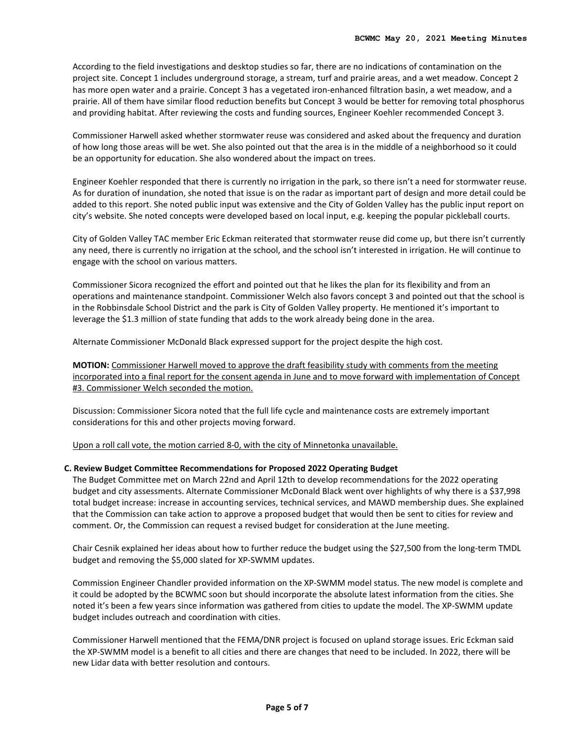According to the field investigations and desktop studies so far, there are no indications of contamination on the project site. Concept 1 includes underground storage, a stream, turf and prairie areas, and a wet meadow. Concept 2 has more open water and a prairie. Concept 3 has a vegetated iron-enhanced filtration basin, a wet meadow, and a prairie. All of them have similar flood reduction benefits but Concept 3 would be better for removing total phosphorus and providing habitat. After reviewing the costs and funding sources, Engineer Koehler recommended Concept 3.

Commissioner Harwell asked whether stormwater reuse was considered and asked about the frequency and duration of how long those areas will be wet. She also pointed out that the area is in the middle of a neighborhood so it could be an opportunity for education. She also wondered about the impact on trees.

Engineer Koehler responded that there is currently no irrigation in the park, so there isn't a need for stormwater reuse. As for duration of inundation, she noted that issue is on the radar as important part of design and more detail could be added to this report. She noted public input was extensive and the City of Golden Valley has the public input report on city's website. She noted concepts were developed based on local input, e.g. keeping the popular pickleball courts.

City of Golden Valley TAC member Eric Eckman reiterated that stormwater reuse did come up, but there isn't currently any need, there is currently no irrigation at the school, and the school isn't interested in irrigation. He will continue to engage with the school on various matters.

Commissioner Sicora recognized the effort and pointed out that he likes the plan for its flexibility and from an operations and maintenance standpoint. Commissioner Welch also favors concept 3 and pointed out that the school is in the Robbinsdale School District and the park is City of Golden Valley property. He mentioned it's important to leverage the \$1.3 million of state funding that adds to the work already being done in the area.

Alternate Commissioner McDonald Black expressed support for the project despite the high cost.

**MOTION:** Commissioner Harwell moved to approve the draft feasibility study with comments from the meeting incorporated into a final report for the consent agenda in June and to move forward with implementation of Concept #3. Commissioner Welch seconded the motion.

Discussion: Commissioner Sicora noted that the full life cycle and maintenance costs are extremely important considerations for this and other projects moving forward.

Upon a roll call vote, the motion carried 8-0, with the city of Minnetonka unavailable.

#### **C. Review Budget Committee Recommendations for Proposed 2022 Operating Budget**

The Budget Committee met on March 22nd and April 12th to develop recommendations for the 2022 operating budget and city assessments. Alternate Commissioner McDonald Black went over highlights of why there is a \$37,998 total budget increase: increase in accounting services, technical services, and MAWD membership dues. She explained that the Commission can take action to approve a proposed budget that would then be sent to cities for review and comment. Or, the Commission can request a revised budget for consideration at the June meeting.

Chair Cesnik explained her ideas about how to further reduce the budget using the \$27,500 from the long-term TMDL budget and removing the \$5,000 slated for XP-SWMM updates.

Commission Engineer Chandler provided information on the XP-SWMM model status. The new model is complete and it could be adopted by the BCWMC soon but should incorporate the absolute latest information from the cities. She noted it's been a few years since information was gathered from cities to update the model. The XP-SWMM update budget includes outreach and coordination with cities.

Commissioner Harwell mentioned that the FEMA/DNR project is focused on upland storage issues. Eric Eckman said the XP-SWMM model is a benefit to all cities and there are changes that need to be included. In 2022, there will be new Lidar data with better resolution and contours.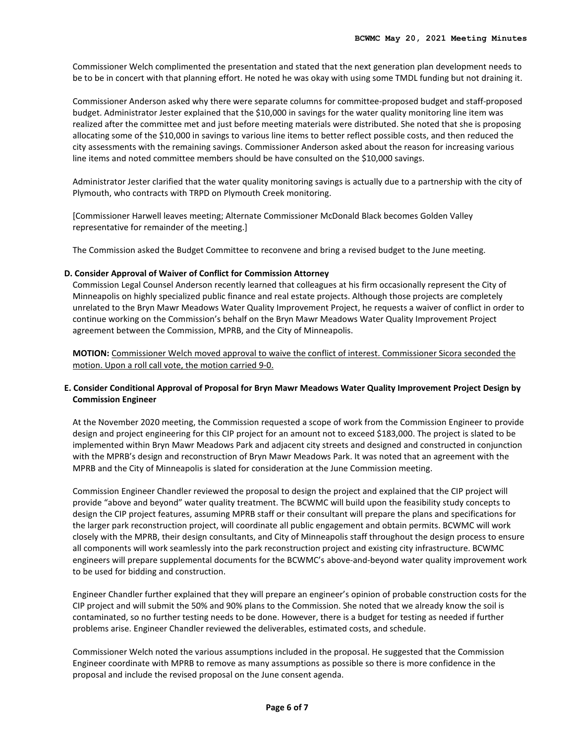Commissioner Welch complimented the presentation and stated that the next generation plan development needs to be to be in concert with that planning effort. He noted he was okay with using some TMDL funding but not draining it.

Commissioner Anderson asked why there were separate columns for committee-proposed budget and staff-proposed budget. Administrator Jester explained that the \$10,000 in savings for the water quality monitoring line item was realized after the committee met and just before meeting materials were distributed. She noted that she is proposing allocating some of the \$10,000 in savings to various line items to better reflect possible costs, and then reduced the city assessments with the remaining savings. Commissioner Anderson asked about the reason for increasing various line items and noted committee members should be have consulted on the \$10,000 savings.

Administrator Jester clarified that the water quality monitoring savings is actually due to a partnership with the city of Plymouth, who contracts with TRPD on Plymouth Creek monitoring.

[Commissioner Harwell leaves meeting; Alternate Commissioner McDonald Black becomes Golden Valley representative for remainder of the meeting.]

The Commission asked the Budget Committee to reconvene and bring a revised budget to the June meeting.

#### **D. Consider Approval of Waiver of Conflict for Commission Attorney**

Commission Legal Counsel Anderson recently learned that colleagues at his firm occasionally represent the City of Minneapolis on highly specialized public finance and real estate projects. Although those projects are completely unrelated to the Bryn Mawr Meadows Water Quality Improvement Project, he requests a waiver of conflict in order to continue working on the Commission's behalf on the Bryn Mawr Meadows Water Quality Improvement Project agreement between the Commission, MPRB, and the City of Minneapolis.

**MOTION:** Commissioner Welch moved approval to waive the conflict of interest. Commissioner Sicora seconded the motion. Upon a roll call vote, the motion carried 9-0.

### **E. Consider Conditional Approval of Proposal for Bryn Mawr Meadows Water Quality Improvement Project Design by Commission Engineer**

At the November 2020 meeting, the Commission requested a scope of work from the Commission Engineer to provide design and project engineering for this CIP project for an amount not to exceed \$183,000. The project is slated to be implemented within Bryn Mawr Meadows Park and adjacent city streets and designed and constructed in conjunction with the MPRB's design and reconstruction of Bryn Mawr Meadows Park. It was noted that an agreement with the MPRB and the City of Minneapolis is slated for consideration at the June Commission meeting.

Commission Engineer Chandler reviewed the proposal to design the project and explained that the CIP project will provide "above and beyond" water quality treatment. The BCWMC will build upon the feasibility study concepts to design the CIP project features, assuming MPRB staff or their consultant will prepare the plans and specifications for the larger park reconstruction project, will coordinate all public engagement and obtain permits. BCWMC will work closely with the MPRB, their design consultants, and City of Minneapolis staff throughout the design process to ensure all components will work seamlessly into the park reconstruction project and existing city infrastructure. BCWMC engineers will prepare supplemental documents for the BCWMC's above-and-beyond water quality improvement work to be used for bidding and construction.

Engineer Chandler further explained that they will prepare an engineer's opinion of probable construction costs for the CIP project and will submit the 50% and 90% plans to the Commission. She noted that we already know the soil is contaminated, so no further testing needs to be done. However, there is a budget for testing as needed if further problems arise. Engineer Chandler reviewed the deliverables, estimated costs, and schedule.

Commissioner Welch noted the various assumptions included in the proposal. He suggested that the Commission Engineer coordinate with MPRB to remove as many assumptions as possible so there is more confidence in the proposal and include the revised proposal on the June consent agenda.